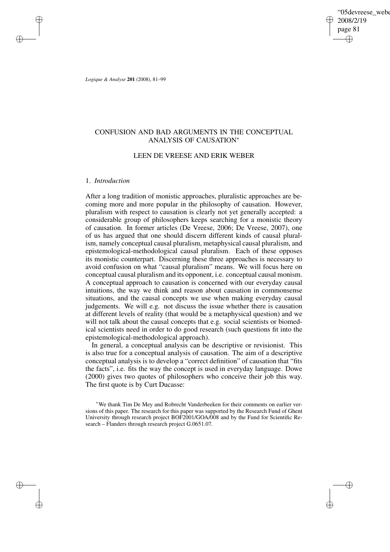'05devreese\_webe 2008/2/19 page 81 ✐ ✐

✐

✐

*Logique & Analyse* **201** (2008), 81–99

✐

✐

✐

✐

# CONFUSION AND BAD ARGUMENTS IN THE CONCEPTUAL ANALYSIS OF CAUSATION<sup>∗</sup>

## LEEN DE VREESE AND ERIK WEBER

## 1. *Introduction*

After a long tradition of monistic approaches, pluralistic approaches are becoming more and more popular in the philosophy of causation. However, pluralism with respect to causation is clearly not yet generally accepted: a considerable group of philosophers keeps searching for a monistic theory of causation. In former articles (De Vreese, 2006; De Vreese, 2007), one of us has argued that one should discern different kinds of causal pluralism, namely conceptual causal pluralism, metaphysical causal pluralism, and epistemological-methodological causal pluralism. Each of these opposes its monistic counterpart. Discerning these three approaches is necessary to avoid confusion on what "causal pluralism" means. We will focus here on conceptual causal pluralism and its opponent, i.e. conceptual causal monism. A conceptual approach to causation is concerned with our everyday causal intuitions, the way we think and reason about causation in commonsense situations, and the causal concepts we use when making everyday causal judgements. We will e.g. not discuss the issue whether there is causation at different levels of reality (that would be a metaphysical question) and we will not talk about the causal concepts that e.g. social scientists or biomedical scientists need in order to do good research (such questions fit into the epistemological-methodological approach).

In general, a conceptual analysis can be descriptive or revisionist. This is also true for a conceptual analysis of causation. The aim of a descriptive conceptual analysis is to develop a "correct definition" of causation that "fits the facts", i.e. fits the way the concept is used in everyday language. Dowe (2000) gives two quotes of philosophers who conceive their job this way. The first quote is by Curt Ducasse:

<sup>∗</sup>We thank Tim De Mey and Robrecht Vanderbeeken for their comments on earlier versions of this paper. The research for this paper was supported by the Research Fund of Ghent University through research project BOF2001/GOA/008 and by the Fund for Scientific Research – Flanders through research project G.0651.07.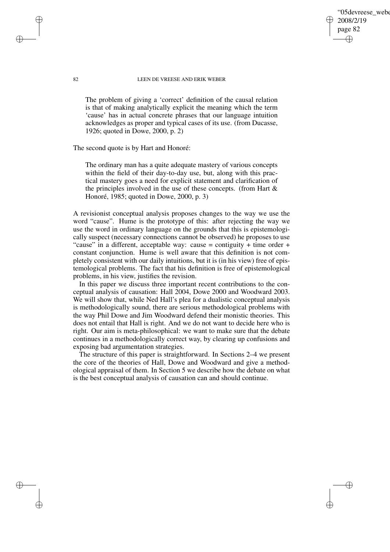'05devreese\_webe 2008/2/19 page 82 ✐ ✐

✐

✐

#### 82 LEEN DE VREESE AND ERIK WEBER

The problem of giving a 'correct' definition of the causal relation is that of making analytically explicit the meaning which the term 'cause' has in actual concrete phrases that our language intuition acknowledges as proper and typical cases of its use. (from Ducasse, 1926; quoted in Dowe, 2000, p. 2)

The second quote is by Hart and Honoré:

The ordinary man has a quite adequate mastery of various concepts within the field of their day-to-day use, but, along with this practical mastery goes a need for explicit statement and clarification of the principles involved in the use of these concepts. (from Hart  $\&$ Honoré, 1985; quoted in Dowe, 2000, p. 3)

A revisionist conceptual analysis proposes changes to the way we use the word "cause". Hume is the prototype of this: after rejecting the way we use the word in ordinary language on the grounds that this is epistemologically suspect (necessary connections cannot be observed) he proposes to use "cause" in a different, acceptable way: cause = contiguity + time order + constant conjunction. Hume is well aware that this definition is not completely consistent with our daily intuitions, but it is (in his view) free of epistemological problems. The fact that his definition is free of epistemological problems, in his view, justifies the revision.

In this paper we discuss three important recent contributions to the conceptual analysis of causation: Hall 2004, Dowe 2000 and Woodward 2003. We will show that, while Ned Hall's plea for a dualistic conceptual analysis is methodologically sound, there are serious methodological problems with the way Phil Dowe and Jim Woodward defend their monistic theories. This does not entail that Hall is right. And we do not want to decide here who is right. Our aim is meta-philosophical: we want to make sure that the debate continues in a methodologically correct way, by clearing up confusions and exposing bad argumentation strategies.

The structure of this paper is straightforward. In Sections 2–4 we present the core of the theories of Hall, Dowe and Woodward and give a methodological appraisal of them. In Section 5 we describe how the debate on what is the best conceptual analysis of causation can and should continue.

✐

✐

✐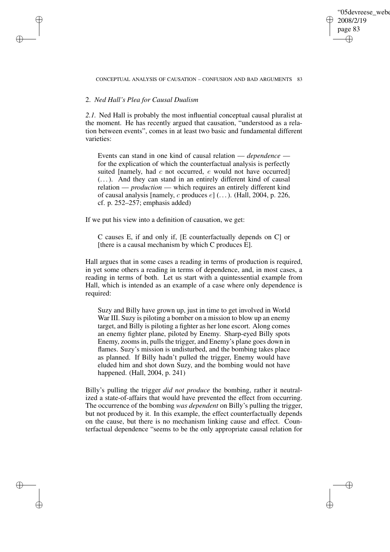✐

#### CONCEPTUAL ANALYSIS OF CAUSATION – CONFUSION AND BAD ARGUMENTS 83

# 2. *Ned Hall's Plea for Causal Dualism*

✐

✐

✐

✐

*2.1.* Ned Hall is probably the most influential conceptual causal pluralist at the moment. He has recently argued that causation, "understood as a relation between events", comes in at least two basic and fundamental different varieties:

Events can stand in one kind of causal relation — *dependence* for the explication of which the counterfactual analysis is perfectly suited [namely, had  $c$  not occurred,  $e$  would not have occurred] (. . .). And they can stand in an entirely different kind of causal relation — *production* — which requires an entirely different kind of causal analysis [namely, c produces  $e$ ] (...). (Hall, 2004, p. 226, cf. p. 252–257; emphasis added)

If we put his view into a definition of causation, we get:

C causes E, if and only if, [E counterfactually depends on C] or [there is a causal mechanism by which C produces E].

Hall argues that in some cases a reading in terms of production is required, in yet some others a reading in terms of dependence, and, in most cases, a reading in terms of both. Let us start with a quintessential example from Hall, which is intended as an example of a case where only dependence is required:

Suzy and Billy have grown up, just in time to get involved in World War III. Suzy is piloting a bomber on a mission to blow up an enemy target, and Billy is piloting a fighter as her lone escort. Along comes an enemy fighter plane, piloted by Enemy. Sharp-eyed Billy spots Enemy, zooms in, pulls the trigger, and Enemy's plane goes down in flames. Suzy's mission is undisturbed, and the bombing takes place as planned. If Billy hadn't pulled the trigger, Enemy would have eluded him and shot down Suzy, and the bombing would not have happened. (Hall, 2004, p. 241)

Billy's pulling the trigger *did not produce* the bombing, rather it neutralized a state-of-affairs that would have prevented the effect from occurring. The occurrence of the bombing *was dependent* on Billy's pulling the trigger, but not produced by it. In this example, the effect counterfactually depends on the cause, but there is no mechanism linking cause and effect. Counterfactual dependence "seems to be the only appropriate causal relation for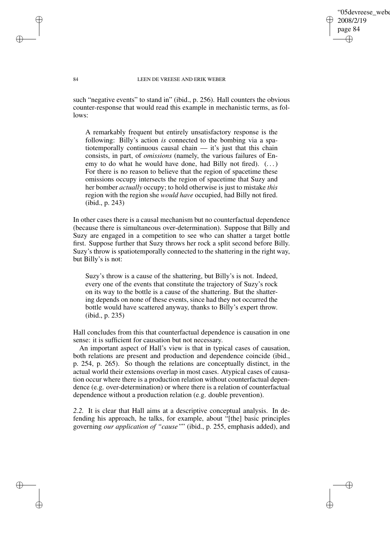'05devreese\_webe 2008/2/19 page 84 ✐ ✐

✐

✐

#### 84 LEEN DE VREESE AND ERIK WEBER

such "negative events" to stand in" (ibid., p. 256). Hall counters the obvious counter-response that would read this example in mechanistic terms, as follows:

A remarkably frequent but entirely unsatisfactory response is the following: Billy's action *is* connected to the bombing via a spatiotemporally continuous causal chain — it's just that this chain consists, in part, of *omissions* (namely, the various failures of Enemy to do what he would have done, had Billy not fired).  $( \dots )$ For there is no reason to believe that the region of spacetime these omissions occupy intersects the region of spacetime that Suzy and her bomber *actually* occupy; to hold otherwise is just to mistake *this* region with the region she *would have* occupied, had Billy not fired. (ibid., p. 243)

In other cases there is a causal mechanism but no counterfactual dependence (because there is simultaneous over-determination). Suppose that Billy and Suzy are engaged in a competition to see who can shatter a target bottle first. Suppose further that Suzy throws her rock a split second before Billy. Suzy's throw is spatiotemporally connected to the shattering in the right way, but Billy's is not:

Suzy's throw is a cause of the shattering, but Billy's is not. Indeed, every one of the events that constitute the trajectory of Suzy's rock on its way to the bottle is a cause of the shattering. But the shattering depends on none of these events, since had they not occurred the bottle would have scattered anyway, thanks to Billy's expert throw. (ibid., p. 235)

Hall concludes from this that counterfactual dependence is causation in one sense: it is sufficient for causation but not necessary.

An important aspect of Hall's view is that in typical cases of causation, both relations are present and production and dependence coincide (ibid., p. 254, p. 265). So though the relations are conceptually distinct, in the actual world their extensions overlap in most cases. Atypical cases of causation occur where there is a production relation without counterfactual dependence (e.g. over-determination) or where there is a relation of counterfactual dependence without a production relation (e.g. double prevention).

*2.2.* It is clear that Hall aims at a descriptive conceptual analysis. In defending his approach, he talks, for example, about "[the] basic principles governing *our application of "cause"*" (ibid., p. 255, emphasis added), and

✐

✐

✐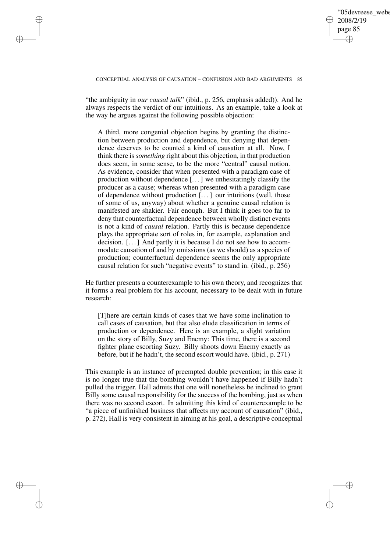✐

## CONCEPTUAL ANALYSIS OF CAUSATION – CONFUSION AND BAD ARGUMENTS 85

✐

✐

✐

✐

"the ambiguity in *our causal talk*" (ibid., p. 256, emphasis added)). And he always respects the verdict of our intuitions. As an example, take a look at the way he argues against the following possible objection:

A third, more congenial objection begins by granting the distinction between production and dependence, but denying that dependence deserves to be counted a kind of causation at all. Now, I think there is*something* right about this objection, in that production does seem, in some sense, to be the more "central" causal notion. As evidence, consider that when presented with a paradigm case of production without dependence [. . .] we unhesitatingly classify the producer as a cause; whereas when presented with a paradigm case of dependence without production [. . .] our intuitions (well, those of some of us, anyway) about whether a genuine causal relation is manifested are shakier. Fair enough. But I think it goes too far to deny that counterfactual dependence between wholly distinct events is not a kind of *causal* relation. Partly this is because dependence plays the appropriate sort of roles in, for example, explanation and decision. [...] And partly it is because I do not see how to accommodate causation of and by omissions (as we should) as a species of production; counterfactual dependence seems the only appropriate causal relation for such "negative events" to stand in. (ibid., p. 256)

He further presents a counterexample to his own theory, and recognizes that it forms a real problem for his account, necessary to be dealt with in future research:

[T]here are certain kinds of cases that we have some inclination to call cases of causation, but that also elude classification in terms of production or dependence. Here is an example, a slight variation on the story of Billy, Suzy and Enemy: This time, there is a second fighter plane escorting Suzy. Billy shoots down Enemy exactly as before, but if he hadn't, the second escort would have. (ibid., p. 271)

This example is an instance of preempted double prevention; in this case it is no longer true that the bombing wouldn't have happened if Billy hadn't pulled the trigger. Hall admits that one will nonetheless be inclined to grant Billy some causal responsibility for the success of the bombing, just as when there was no second escort. In admitting this kind of counterexample to be "a piece of unfinished business that affects my account of causation" (ibid., p. 272), Hall is very consistent in aiming at his goal, a descriptive conceptual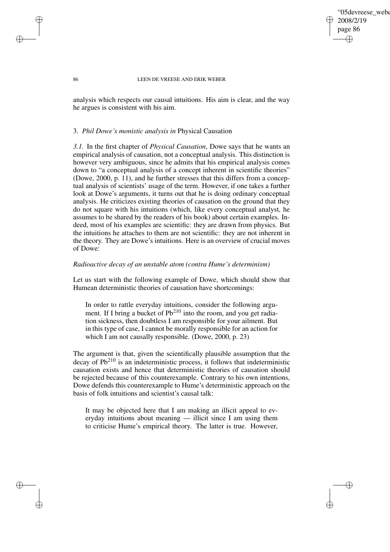## '05devreese\_webe 2008/2/19 page 86 ✐ ✐

✐

✐

#### 86 LEEN DE VREESE AND ERIK WEBER

analysis which respects our causal intuitions. His aim is clear, and the way he argues is consistent with his aim.

## 3. *Phil Dowe's monistic analysis in* Physical Causation

*3.1.* In the first chapter of *Physical Causation*, Dowe says that he wants an empirical analysis of causation, not a conceptual analysis. This distinction is however very ambiguous, since he admits that his empirical analysis comes down to "a conceptual analysis of a concept inherent in scientific theories" (Dowe, 2000, p. 11), and he further stresses that this differs from a conceptual analysis of scientists' usage of the term. However, if one takes a further look at Dowe's arguments, it turns out that he is doing ordinary conceptual analysis. He criticizes existing theories of causation on the ground that they do not square with his intuitions (which, like every conceptual analyst, he assumes to be shared by the readers of his book) about certain examples. Indeed, most of his examples are scientific: they are drawn from physics. But the intuitions he attaches to them are not scientific: they are not inherent in the theory. They are Dowe's intuitions. Here is an overview of crucial moves of Dowe:

## *Radioactive decay of an unstable atom (contra Hume's determinism)*

Let us start with the following example of Dowe, which should show that Humean deterministic theories of causation have shortcomings:

In order to rattle everyday intuitions, consider the following argument. If I bring a bucket of  $Pb^{210}$  into the room, and you get radiation sickness, then doubtless I am responsible for your ailment. But in this type of case, I cannot be morally responsible for an action for which I am not causally responsible. (Dowe, 2000, p. 23)

The argument is that, given the scientifically plausible assumption that the decay of  $Pb^{210}$  is an indeterministic process, it follows that indeterministic causation exists and hence that deterministic theories of causation should be rejected because of this counterexample. Contrary to his own intentions, Dowe defends this counterexample to Hume's deterministic approach on the basis of folk intuitions and scientist's causal talk:

It may be objected here that I am making an illicit appeal to everyday intuitions about meaning — illicit since I am using them to criticise Hume's empirical theory. The latter is true. However,

✐

✐

✐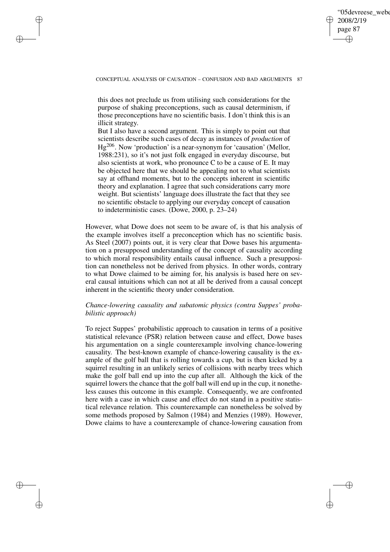✐

## CONCEPTUAL ANALYSIS OF CAUSATION – CONFUSION AND BAD ARGUMENTS 87

✐

✐

✐

✐

this does not preclude us from utilising such considerations for the purpose of shaking preconceptions, such as causal determinism, if those preconceptions have no scientific basis. I don't think this is an illicit strategy.

But I also have a second argument. This is simply to point out that scientists describe such cases of decay as instances of *production* of Hg<sup>206</sup>. Now 'production' is a near-synonym for 'causation' (Mellor, 1988:231), so it's not just folk engaged in everyday discourse, but also scientists at work, who pronounce C to be a cause of E. It may be objected here that we should be appealing not to what scientists say at offhand moments, but to the concepts inherent in scientific theory and explanation. I agree that such considerations carry more weight. But scientists' language does illustrate the fact that they see no scientific obstacle to applying our everyday concept of causation to indeterministic cases. (Dowe, 2000, p. 23–24)

However, what Dowe does not seem to be aware of, is that his analysis of the example involves itself a preconception which has no scientific basis. As Steel (2007) points out, it is very clear that Dowe bases his argumentation on a presupposed understanding of the concept of causality according to which moral responsibility entails causal influence. Such a presupposition can nonetheless not be derived from physics. In other words, contrary to what Dowe claimed to be aiming for, his analysis is based here on several causal intuitions which can not at all be derived from a causal concept inherent in the scientific theory under consideration.

# *Chance-lowering causality and subatomic physics (contra Suppes' probabilistic approach)*

To reject Suppes' probabilistic approach to causation in terms of a positive statistical relevance (PSR) relation between cause and effect, Dowe bases his argumentation on a single counterexample involving chance-lowering causality. The best-known example of chance-lowering causality is the example of the golf ball that is rolling towards a cup, but is then kicked by a squirrel resulting in an unlikely series of collisions with nearby trees which make the golf ball end up into the cup after all. Although the kick of the squirrel lowers the chance that the golf ball will end up in the cup, it nonetheless causes this outcome in this example. Consequently, we are confronted here with a case in which cause and effect do not stand in a positive statistical relevance relation. This counterexample can nonetheless be solved by some methods proposed by Salmon (1984) and Menzies (1989). However, Dowe claims to have a counterexample of chance-lowering causation from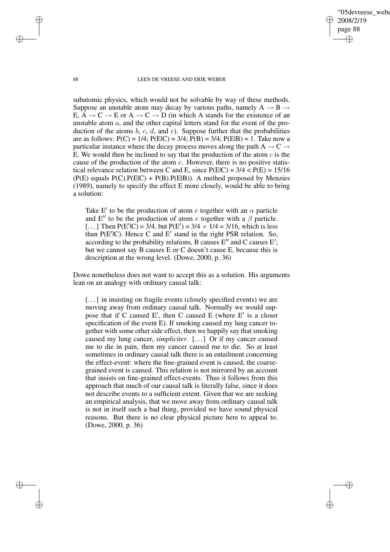'05devreese\_webe 2008/2/19 page 88 ✐ ✐

✐

✐

#### 88 LEEN DE VREESE AND ERIK WEBER

subatomic physics, which would not be solvable by way of these methods. Suppose an unstable atom may decay by various paths, namely  $A \rightarrow B \rightarrow$ E,  $A \rightarrow C \rightarrow E$  or  $A \rightarrow C \rightarrow D$  (in which A stands for the existence of an unstable atom  $a$ , and the other capital letters stand for the event of the production of the atoms  $b, c, d$ , and  $e$ ). Suppose further that the probabilities are as follows:  $P(C) = 1/4$ ;  $P(E|C) = 3/4$ ;  $P(B) = 3/4$ ;  $P(E|B) = 1$ . Take now a particular instance where the decay process moves along the path A  $\rightarrow$  C  $\rightarrow$ E. We would then be inclined to say that the production of the atom  $c$  is the cause of the production of the atom e. However, there is no positive statistical relevance relation between C and E, since  $P(EC) = 3/4 < P(E) = 15/16$  $(P(E)$  equals  $P(C) \cdot P(E|C) + P(B) \cdot P(E|B)$ . A method proposed by Menzies (1989), namely to specify the effect E more closely, would be able to bring a solution:

Take E' to be the production of atom e together with an  $\alpha$  particle and  $E''$  to be the production of atom e together with a  $\beta$  particle. [...] Then P(E'|C) = 3/4, but P(E') = 3/4 × 1/4 = 3/16, which is less than  $P(E'|C)$ . Hence C and E' stand in the right PSR relation. So,  $\frac{1}{2}$  according to the probability relations, B causes E'' and C causes E'; but we cannot say B causes E or C doesn't cause E, because this is description at the wrong level. (Dowe, 2000, p. 36)

Dowe nonetheless does not want to accept this as a solution. His arguments lean on an analogy with ordinary causal talk:

[...] in insisting on fragile events (closely specified events) we are moving away from ordinary causal talk. Normally we would suppose that if C caused E', then C caused E (where  $E'$  is a closer specification of the event E). If smoking caused my lung cancer together with some other side effect, then we happily say that smoking caused my lung cancer, *simpliciter*. [. . .] Or if my cancer caused me to die in pain, then my cancer caused me to die. So at least sometimes in ordinary causal talk there is an entailment concerning the effect-event: where the fine-grained event is caused, the coarsegrained event is caused. This relation is not mirrored by an account that insists on fine-grained effect-events. Thus it follows from this approach that much of our causal talk is literally false, since it does not describe events to a sufficient extent. Given that we are seeking an empirical analysis, that we move away from ordinary causal talk is not in itself such a bad thing, provided we have sound physical reasons. But there is no clear physical picture here to appeal to. (Dowe, 2000, p. 36)

✐

✐

✐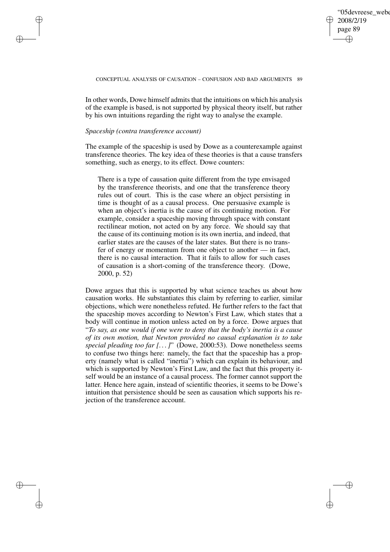✐

## CONCEPTUAL ANALYSIS OF CAUSATION – CONFUSION AND BAD ARGUMENTS 89

In other words, Dowe himself admits that the intuitions on which his analysis of the example is based, is not supported by physical theory itself, but rather by his own intuitions regarding the right way to analyse the example.

## *Spaceship (contra transference account)*

✐

✐

✐

✐

The example of the spaceship is used by Dowe as a counterexample against transference theories. The key idea of these theories is that a cause transfers something, such as energy, to its effect. Dowe counters:

There is a type of causation quite different from the type envisaged by the transference theorists, and one that the transference theory rules out of court. This is the case where an object persisting in time is thought of as a causal process. One persuasive example is when an object's inertia is the cause of its continuing motion. For example, consider a spaceship moving through space with constant rectilinear motion, not acted on by any force. We should say that the cause of its continuing motion is its own inertia, and indeed, that earlier states are the causes of the later states. But there is no transfer of energy or momentum from one object to another — in fact, there is no causal interaction. That it fails to allow for such cases of causation is a short-coming of the transference theory. (Dowe, 2000, p. 52)

Dowe argues that this is supported by what science teaches us about how causation works. He substantiates this claim by referring to earlier, similar objections, which were nonetheless refuted. He further refers to the fact that the spaceship moves according to Newton's First Law, which states that a body will continue in motion unless acted on by a force. Dowe argues that "*To say, as one would if one were to deny that the body's inertia is a cause of its own motion, that Newton provided no causal explanation is to take special pleading too far [. . .]*" (Dowe, 2000:53). Dowe nonetheless seems to confuse two things here: namely, the fact that the spaceship has a property (namely what is called "inertia") which can explain its behaviour, and which is supported by Newton's First Law, and the fact that this property itself would be an instance of a causal process. The former cannot support the latter. Hence here again, instead of scientific theories, it seems to be Dowe's intuition that persistence should be seen as causation which supports his rejection of the transference account.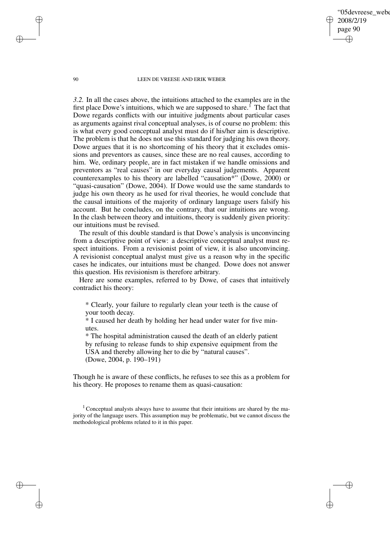'05devreese\_webe 2008/2/19 page 90 ✐ ✐

✐

✐

### 90 LEEN DE VREESE AND ERIK WEBER

*3.2.* In all the cases above, the intuitions attached to the examples are in the first place Dowe's intuitions, which we are supposed to share.<sup> $\overline{1}$ </sup> The fact that Dowe regards conflicts with our intuitive judgments about particular cases as arguments against rival conceptual analyses, is of course no problem: this is what every good conceptual analyst must do if his/her aim is descriptive. The problem is that he does not use this standard for judging his own theory. Dowe argues that it is no shortcoming of his theory that it excludes omissions and preventors as causes, since these are no real causes, according to him. We, ordinary people, are in fact mistaken if we handle omissions and preventors as "real causes" in our everyday causal judgements. Apparent counterexamples to his theory are labelled "causation\*" (Dowe, 2000) or "quasi-causation" (Dowe, 2004). If Dowe would use the same standards to judge his own theory as he used for rival theories, he would conclude that the causal intuitions of the majority of ordinary language users falsify his account. But he concludes, on the contrary, that our intuitions are wrong. In the clash between theory and intuitions, theory is suddenly given priority: our intuitions must be revised.

The result of this double standard is that Dowe's analysis is unconvincing from a descriptive point of view: a descriptive conceptual analyst must respect intuitions. From a revisionist point of view, it is also unconvincing. A revisionist conceptual analyst must give us a reason why in the specific cases he indicates, our intuitions must be changed. Dowe does not answer this question. His revisionism is therefore arbitrary.

Here are some examples, referred to by Dowe, of cases that intuitively contradict his theory:

\* Clearly, your failure to regularly clean your teeth is the cause of your tooth decay.

\* I caused her death by holding her head under water for five minutes.

\* The hospital administration caused the death of an elderly patient by refusing to release funds to ship expensive equipment from the USA and thereby allowing her to die by "natural causes". (Dowe, 2004, p. 190–191)

Though he is aware of these conflicts, he refuses to see this as a problem for his theory. He proposes to rename them as quasi-causation:

✐

✐

✐

<sup>1</sup> Conceptual analysts always have to assume that their intuitions are shared by the majority of the language users. This assumption may be problematic, but we cannot discuss the methodological problems related to it in this paper.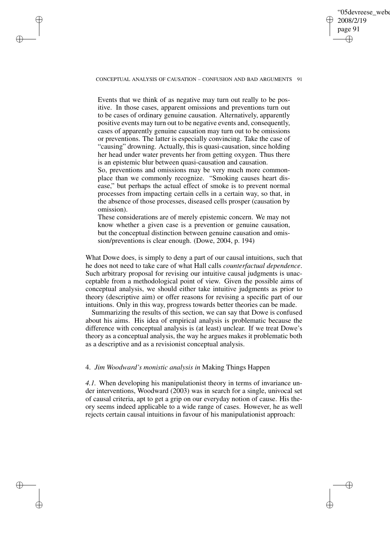## '05devreese\_webe 2008/2/19 page 91 ✐ ✐

✐

✐

## CONCEPTUAL ANALYSIS OF CAUSATION – CONFUSION AND BAD ARGUMENTS 91

✐

✐

✐

✐

Events that we think of as negative may turn out really to be positive. In those cases, apparent omissions and preventions turn out to be cases of ordinary genuine causation. Alternatively, apparently positive events may turn out to be negative events and, consequently, cases of apparently genuine causation may turn out to be omissions or preventions. The latter is especially convincing. Take the case of "causing" drowning. Actually, this is quasi-causation, since holding her head under water prevents her from getting oxygen. Thus there is an epistemic blur between quasi-causation and causation.

So, preventions and omissions may be very much more commonplace than we commonly recognize. "Smoking causes heart disease," but perhaps the actual effect of smoke is to prevent normal processes from impacting certain cells in a certain way, so that, in the absence of those processes, diseased cells prosper (causation by omission).

These considerations are of merely epistemic concern. We may not know whether a given case is a prevention or genuine causation, but the conceptual distinction between genuine causation and omission/preventions is clear enough. (Dowe, 2004, p. 194)

What Dowe does, is simply to deny a part of our causal intuitions, such that he does not need to take care of what Hall calls *counterfactual dependence*. Such arbitrary proposal for revising our intuitive causal judgments is unacceptable from a methodological point of view. Given the possible aims of conceptual analysis, we should either take intuitive judgments as prior to theory (descriptive aim) or offer reasons for revising a specific part of our intuitions. Only in this way, progress towards better theories can be made.

Summarizing the results of this section, we can say that Dowe is confused about his aims. His idea of empirical analysis is problematic because the difference with conceptual analysis is (at least) unclear. If we treat Dowe's theory as a conceptual analysis, the way he argues makes it problematic both as a descriptive and as a revisionist conceptual analysis.

## 4. *Jim Woodward's monistic analysis in* Making Things Happen

*4.1.* When developing his manipulationist theory in terms of invariance under interventions, Woodward (2003) was in search for a single, univocal set of causal criteria, apt to get a grip on our everyday notion of cause. His theory seems indeed applicable to a wide range of cases. However, he as well rejects certain causal intuitions in favour of his manipulationist approach: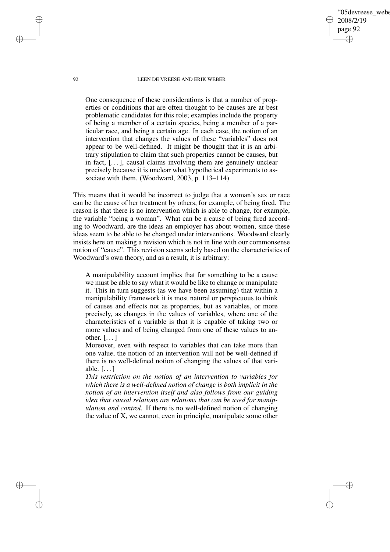92 LEEN DE VREESE AND ERIK WEBER

'05devreese\_webe

2008/2/19 page 92

✐

✐

✐

✐

One consequence of these considerations is that a number of properties or conditions that are often thought to be causes are at best problematic candidates for this role; examples include the property of being a member of a certain species, being a member of a particular race, and being a certain age. In each case, the notion of an intervention that changes the values of these "variables" does not appear to be well-defined. It might be thought that it is an arbitrary stipulation to claim that such properties cannot be causes, but in fact,  $[...]$ , causal claims involving them are genuinely unclear precisely because it is unclear what hypothetical experiments to associate with them. (Woodward, 2003, p. 113–114)

This means that it would be incorrect to judge that a woman's sex or race can be the cause of her treatment by others, for example, of being fired. The reason is that there is no intervention which is able to change, for example, the variable "being a woman". What can be a cause of being fired according to Woodward, are the ideas an employer has about women, since these ideas seem to be able to be changed under interventions. Woodward clearly insists here on making a revision which is not in line with our commonsense notion of "cause". This revision seems solely based on the characteristics of Woodward's own theory, and as a result, it is arbitrary:

A manipulability account implies that for something to be a cause we must be able to say what it would be like to change or manipulate it. This in turn suggests (as we have been assuming) that within a manipulability framework it is most natural or perspicuous to think of causes and effects not as properties, but as variables, or more precisely, as changes in the values of variables, where one of the characteristics of a variable is that it is capable of taking two or more values and of being changed from one of these values to another.  $[\dots]$ 

Moreover, even with respect to variables that can take more than one value, the notion of an intervention will not be well-defined if there is no well-defined notion of changing the values of that variable. [. . .]

*This restriction on the notion of an intervention to variables for which there is a well-defined notion of change is both implicit in the notion of an intervention itself and also follows from our guiding idea that causal relations are relations that can be used for manipulation and control.* If there is no well-defined notion of changing the value of X, we cannot, even in principle, manipulate some other

✐

✐

✐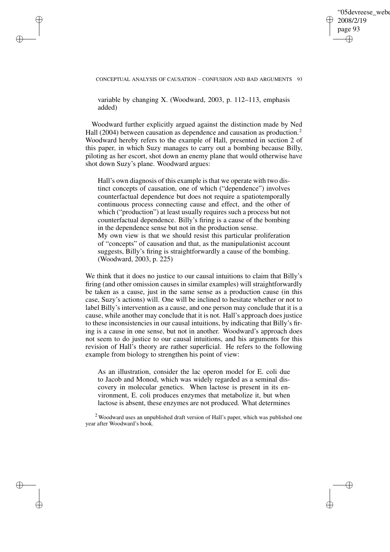✐

### CONCEPTUAL ANALYSIS OF CAUSATION – CONFUSION AND BAD ARGUMENTS 93

✐

✐

✐

✐

variable by changing X. (Woodward, 2003, p. 112–113, emphasis added)

Woodward further explicitly argued against the distinction made by Ned Hall (2004) between causation as dependence and causation as production.<sup>2</sup> Woodward hereby refers to the example of Hall, presented in section 2 of this paper, in which Suzy manages to carry out a bombing because Billy, piloting as her escort, shot down an enemy plane that would otherwise have shot down Suzy's plane. Woodward argues:

Hall's own diagnosis of this example is that we operate with two distinct concepts of causation, one of which ("dependence") involves counterfactual dependence but does not require a spatiotemporally continuous process connecting cause and effect, and the other of which ("production") at least usually requires such a process but not counterfactual dependence. Billy's firing is a cause of the bombing in the dependence sense but not in the production sense. My own view is that we should resist this particular proliferation of "concepts" of causation and that, as the manipulationist account suggests, Billy's firing is straightforwardly a cause of the bombing. (Woodward, 2003, p. 225)

We think that it does no justice to our causal intuitions to claim that Billy's firing (and other omission causes in similar examples) will straightforwardly be taken as a cause, just in the same sense as a production cause (in this case, Suzy's actions) will. One will be inclined to hesitate whether or not to label Billy's intervention as a cause, and one person may conclude that it is a cause, while another may conclude that it is not. Hall's approach does justice to these inconsistencies in our causal intuitions, by indicating that Billy's firing is a cause in one sense, but not in another. Woodward's approach does not seem to do justice to our causal intuitions, and his arguments for this revision of Hall's theory are rather superficial. He refers to the following example from biology to strengthen his point of view:

As an illustration, consider the lac operon model for E. coli due to Jacob and Monod, which was widely regarded as a seminal discovery in molecular genetics. When lactose is present in its environment, E. coli produces enzymes that metabolize it, but when lactose is absent, these enzymes are not produced. What determines

<sup>2</sup> Woodward uses an unpublished draft version of Hall's paper, which was published one year after Woodward's book.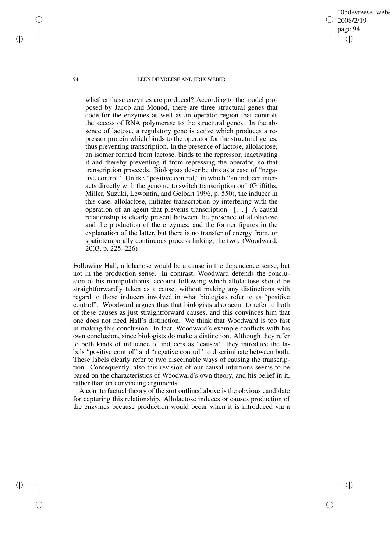#### 94 LEEN DE VREESE AND ERIK WEBER

'05devreese\_webe

2008/2/19 page 94

✐

✐

✐

✐

whether these enzymes are produced? According to the model proposed by Jacob and Monod, there are three structural genes that code for the enzymes as well as an operator region that controls the access of RNA polymerase to the structural genes. In the absence of lactose, a regulatory gene is active which produces a repressor protein which binds to the operator for the structural genes, thus preventing transcription. In the presence of lactose, allolactose, an isomer formed from lactose, binds to the repressor, inactivating it and thereby preventing it from repressing the operator, so that transcription proceeds. Biologists describe this as a case of "negative control". Unlike "positive control," in which "an inducer interacts directly with the genome to switch transcription on" (Griffiths, Miller, Suzuki, Lewontin, and Gelbart 1996, p. 550), the inducer in this case, allolactose, initiates transcription by interfering with the operation of an agent that prevents transcription. [. . .] A causal relationship is clearly present between the presence of allolactose and the production of the enzymes, and the former figures in the explanation of the latter, but there is no transfer of energy from, or spatiotemporally continuous process linking, the two. (Woodward, 2003, p. 225–226)

Following Hall, allolactose would be a cause in the dependence sense, but not in the production sense. In contrast, Woodward defends the conclusion of his manipulationist account following which allolactose should be straightforwardly taken as a cause, without making any distinctions with regard to those inducers involved in what biologists refer to as "positive control". Woodward argues thus that biologists also seem to refer to both of these causes as just straightforward causes, and this convinces him that one does not need Hall's distinction. We think that Woodward is too fast in making this conclusion. In fact, Woodward's example conflicts with his own conclusion, since biologists do make a distinction. Although they refer to both kinds of influence of inducers as "causes", they introduce the labels "positive control" and "negative control" to discriminate between both. These labels clearly refer to two discernable ways of causing the transcription. Consequently, also this revision of our causal intuitions seems to be based on the characteristics of Woodward's own theory, and his belief in it, rather than on convincing arguments.

A counterfactual theory of the sort outlined above is the obvious candidate for capturing this relationship. Allolactose induces or causes production of the enzymes because production would occur when it is introduced via a

✐

✐

✐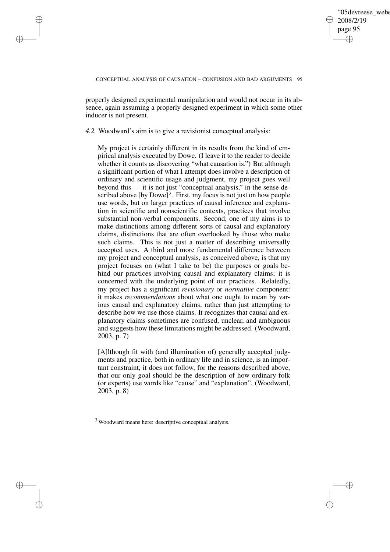✐

properly designed experimental manipulation and would not occur in its absence, again assuming a properly designed experiment in which some other inducer is not present.

*4.2.* Woodward's aim is to give a revisionist conceptual analysis:

✐

✐

✐

✐

My project is certainly different in its results from the kind of empirical analysis executed by Dowe. (I leave it to the reader to decide whether it counts as discovering "what causation is.") But although a significant portion of what I attempt does involve a description of ordinary and scientific usage and judgment, my project goes well beyond this — it is not just "conceptual analysis," in the sense described above  $[$  by  $D$ owe $]$ <sup>3</sup>. First, my focus is not just on how people use words, but on larger practices of causal inference and explanation in scientific and nonscientific contexts, practices that involve substantial non-verbal components. Second, one of my aims is to make distinctions among different sorts of causal and explanatory claims, distinctions that are often overlooked by those who make such claims. This is not just a matter of describing universally accepted uses. A third and more fundamental difference between my project and conceptual analysis, as conceived above, is that my project focuses on (what I take to be) the purposes or goals behind our practices involving causal and explanatory claims; it is concerned with the underlying point of our practices. Relatedly, my project has a significant *revisionary* or *normative* component: it makes *recommendations* about what one ought to mean by various causal and explanatory claims, rather than just attempting to describe how we use those claims. It recognizes that causal and explanatory claims sometimes are confused, unclear, and ambiguous and suggests how these limitations might be addressed. (Woodward, 2003, p. 7)

[A]lthough fit with (and illumination of) generally accepted judgments and practice, both in ordinary life and in science, is an important constraint, it does not follow, for the reasons described above, that our only goal should be the description of how ordinary folk (or experts) use words like "cause" and "explanation". (Woodward, 2003, p. 8)

<sup>3</sup> Woodward means here: descriptive conceptual analysis.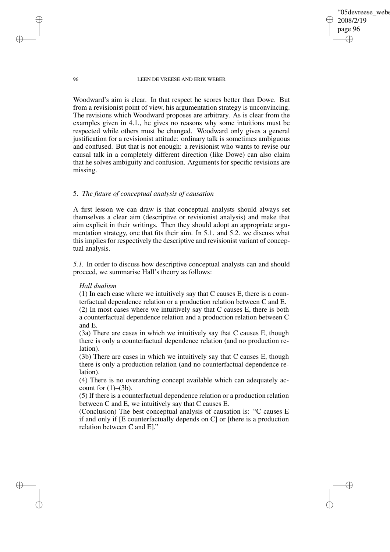'05devreese\_webe 2008/2/19 page 96 ✐ ✐

✐

✐

96 LEEN DE VREESE AND ERIK WEBER

Woodward's aim is clear. In that respect he scores better than Dowe. But from a revisionist point of view, his argumentation strategy is unconvincing. The revisions which Woodward proposes are arbitrary. As is clear from the examples given in 4.1., he gives no reasons why some intuitions must be respected while others must be changed. Woodward only gives a general justification for a revisionist attitude: ordinary talk is sometimes ambiguous and confused. But that is not enough: a revisionist who wants to revise our causal talk in a completely different direction (like Dowe) can also claim that he solves ambiguity and confusion. Arguments for specific revisions are missing.

# 5. *The future of conceptual analysis of causation*

A first lesson we can draw is that conceptual analysts should always set themselves a clear aim (descriptive or revisionist analysis) and make that aim explicit in their writings. Then they should adopt an appropriate argumentation strategy, one that fits their aim. In 5.1. and 5.2. we discuss what this implies for respectively the descriptive and revisionist variant of conceptual analysis.

*5.1.* In order to discuss how descriptive conceptual analysts can and should proceed, we summarise Hall's theory as follows:

## *Hall dualism*

(1) In each case where we intuitively say that C causes E, there is a counterfactual dependence relation or a production relation between C and E.

(2) In most cases where we intuitively say that C causes E, there is both a counterfactual dependence relation and a production relation between C and E.

(3a) There are cases in which we intuitively say that C causes E, though there is only a counterfactual dependence relation (and no production relation).

(3b) There are cases in which we intuitively say that C causes E, though there is only a production relation (and no counterfactual dependence relation).

(4) There is no overarching concept available which can adequately account for  $(1)$ – $(3b)$ .

(5) If there is a counterfactual dependence relation or a production relation between C and E, we intuitively say that C causes E.

(Conclusion) The best conceptual analysis of causation is: "C causes E if and only if [E counterfactually depends on C] or [there is a production relation between C and E]."

✐

✐

✐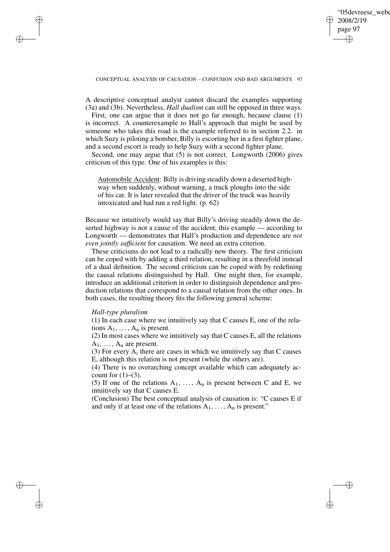✐

## CONCEPTUAL ANALYSIS OF CAUSATION – CONFUSION AND BAD ARGUMENTS 97

A descriptive conceptual analyst cannot discard the examples supporting (3a) and (3b). Nevertheless, *Hall dualism* can still be opposed in three ways.

First, one can argue that it does not go far enough, because clause (1) is incorrect. A counterexample to Hall's approach that might be used by someone who takes this road is the example referred to in section 2.2. in which Suzy is piloting a bomber, Billy is escorting her in a first fighter plane, and a second escort is ready to help Suzy with a second fighter plane.

Second, one may argue that (5) is not correct. Longworth (2006) gives criticism of this type. One of his examples is this:

Automobile Accident: Billy is driving steadily down a deserted highway when suddenly, without warning, a truck ploughs into the side of his car. It is later revealed that the driver of the truck was heavily intoxicated and had run a red light. (p. 62)

Because we intuitively would say that Billy's driving steadily down the deserted highway is not a cause of the accident, this example — according to Longworth — demonstrates that Hall's production and dependence are *not even jointly sufficient* for causation. We need an extra criterion.

These criticisms do not lead to a radically new theory. The first criticism can be coped with by adding a third relation, resulting in a threefold instead of a dual definition. The second criticism can be coped with by redefining the causal relations distinguished by Hall. One might then, for example, introduce an additional criterion in order to distinguish dependence and production relations that correspond to a causal relation from the other ones. In both cases, the resulting theory fits the following general scheme:

## *Hall-type pluralism*

✐

✐

✐

✐

(1) In each case where we intuitively say that C causes E, one of the relations  $A_1, \ldots, A_n$  is present.

(2) In most cases where we intuitively say that C causes E, all the relations  $A_1, \ldots, A_n$  are present.

(3) For every  $A_i$  there are cases in which we intuitively say that C causes E, although this relation is not present (while the others are).

(4) There is no overarching concept available which can adequately account for  $(1)$ – $(3)$ .

(5) If one of the relations  $A_1, \ldots, A_n$  is present between C and E, we intuitively say that C causes E.

(Conclusion) The best conceptual analysis of causation is: "C causes E if and only if at least one of the relations  $A_1, \ldots, A_n$  is present."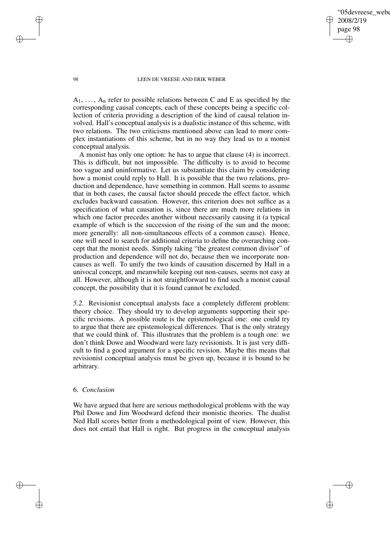'05devreese\_webe 2008/2/19 page 98 ✐ ✐

✐

✐

#### 98 LEEN DE VREESE AND ERIK WEBER

 $A_1, \ldots, A_n$  refer to possible relations between C and E as specified by the corresponding causal concepts, each of these concepts being a specific collection of criteria providing a description of the kind of causal relation involved. Hall's conceptual analysis is a dualistic instance of this scheme, with two relations. The two criticisms mentioned above can lead to more complex instantiations of this scheme, but in no way they lead us to a monist conceptual analysis.

A monist has only one option: he has to argue that clause (4) is incorrect. This is difficult, but not impossible. The difficulty is to avoid to become too vague and uninformative. Let us substantiate this claim by considering how a monist could reply to Hall. It is possible that the two relations, production and dependence, have something in common. Hall seems to assume that in both cases, the causal factor should precede the effect factor, which excludes backward causation. However, this criterion does not suffice as a specification of what causation is, since there are much more relations in which one factor precedes another without necessarily causing it (a typical example of which is the succession of the rising of the sun and the moon; more generally: all non-simultaneous effects of a common cause). Hence, one will need to search for additional criteria to define the overarching concept that the monist needs. Simply taking "the greatest common divisor" of production and dependence will not do, because then we incorporate noncauses as well. To unify the two kinds of causation discerned by Hall in a univocal concept, and meanwhile keeping out non-causes, seems not easy at all. However, although it is not straightforward to find such a monist causal concept, the possibility that it is found cannot be excluded.

*5.2.* Revisionist conceptual analysts face a completely different problem: theory choice. They should try to develop arguments supporting their specific revisions. A possible route is the epistemological one: one could try to argue that there are epistemological differences. That is the only strategy that we could think of. This illustrates that the problem is a tough one: we don't think Dowe and Woodward were lazy revisionists. It is just very difficult to find a good argument for a specific revision. Maybe this means that revisionist conceptual analysis must be given up, because it is bound to be arbitrary.

## 6. *Conclusion*

We have argued that here are serious methodological problems with the way Phil Dowe and Jim Woodward defend their monistic theories. The dualist Ned Hall scores better from a methodological point of view. However, this does not entail that Hall is right. But progress in the conceptual analysis

✐

✐

✐